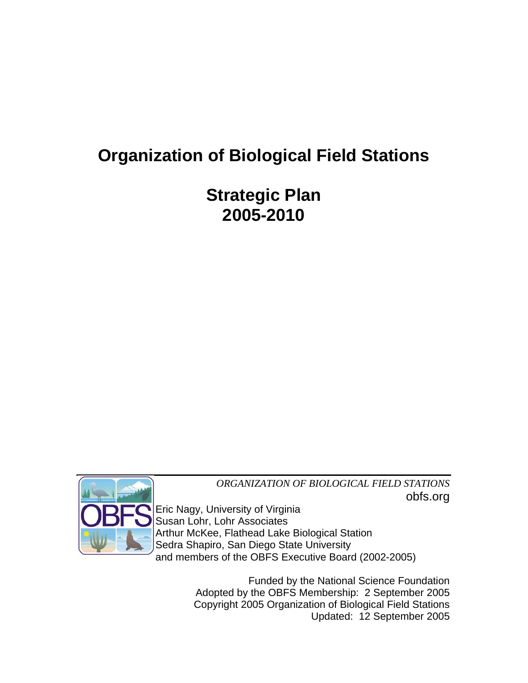# **Organization of Biological Field Stations**

**Strategic Plan 2005-2010** 



*ORGANIZATION OF BIOLOGICAL FIELD STATIONS* obfs.org

Eric Nagy, University of Virginia Susan Lohr, Lohr Associates Arthur McKee, Flathead Lake Biological Station Sedra Shapiro, San Diego State University and members of the OBFS Executive Board (2002-2005)

> Funded by the National Science Foundation Adopted by the OBFS Membership: 2 September 2005 Copyright 2005 Organization of Biological Field Stations Updated: 12 September 2005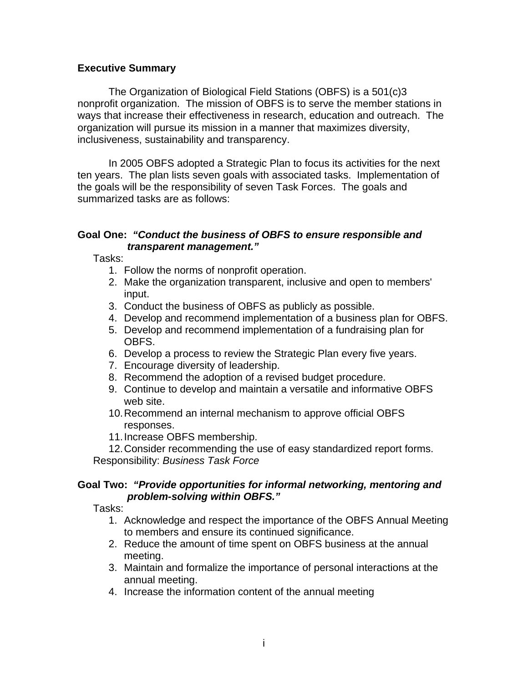## **Executive Summary**

The Organization of Biological Field Stations (OBFS) is a 501(c)3 nonprofit organization. The mission of OBFS is to serve the member stations in ways that increase their effectiveness in research, education and outreach. The organization will pursue its mission in a manner that maximizes diversity, inclusiveness, sustainability and transparency.

In 2005 OBFS adopted a Strategic Plan to focus its activities for the next ten years. The plan lists seven goals with associated tasks. Implementation of the goals will be the responsibility of seven Task Forces. The goals and summarized tasks are as follows:

## **Goal One:** *"Conduct the business of OBFS to ensure responsible and transparent management."*

Tasks:

- 1. Follow the norms of nonprofit operation.
- 2. Make the organization transparent, inclusive and open to members' input.
- 3. Conduct the business of OBFS as publicly as possible.
- 4. Develop and recommend implementation of a business plan for OBFS.
- 5. Develop and recommend implementation of a fundraising plan for OBFS.
- 6. Develop a process to review the Strategic Plan every five years.
- 7. Encourage diversity of leadership.
- 8. Recommend the adoption of a revised budget procedure.
- 9. Continue to develop and maintain a versatile and informative OBFS web site.
- 10. Recommend an internal mechanism to approve official OBFS responses.
- 11. Increase OBFS membership.

12. Consider recommending the use of easy standardized report forms. Responsibility: *Business Task Force*

## **Goal Two:** *"Provide opportunities for informal networking, mentoring and problem-solving within OBFS."*

Tasks:

- 1. Acknowledge and respect the importance of the OBFS Annual Meeting to members and ensure its continued significance.
- 2. Reduce the amount of time spent on OBFS business at the annual meeting.
- 3. Maintain and formalize the importance of personal interactions at the annual meeting.
- 4. Increase the information content of the annual meeting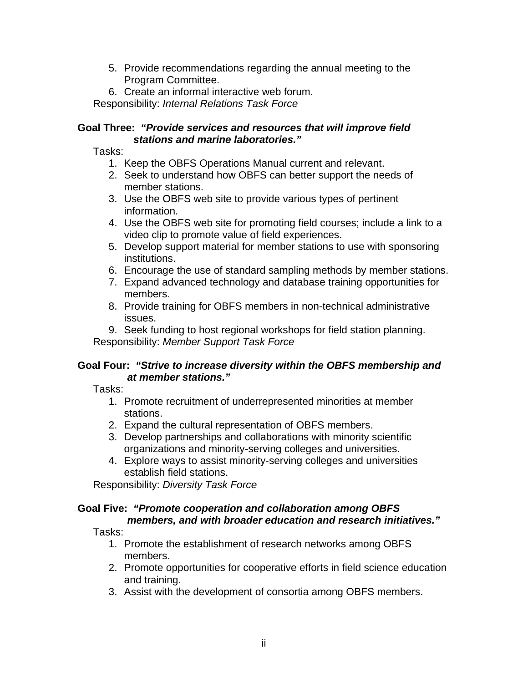- 5. Provide recommendations regarding the annual meeting to the Program Committee.
- 6. Create an informal interactive web forum.

Responsibility: *Internal Relations Task Force*

## **Goal Three:** *"Provide services and resources that will improve field stations and marine laboratories."*

Tasks:

- 1. Keep the OBFS Operations Manual current and relevant.
- 2. Seek to understand how OBFS can better support the needs of member stations.
- 3. Use the OBFS web site to provide various types of pertinent information.
- 4. Use the OBFS web site for promoting field courses; include a link to a video clip to promote value of field experiences.
- 5. Develop support material for member stations to use with sponsoring institutions.
- 6. Encourage the use of standard sampling methods by member stations.
- 7. Expand advanced technology and database training opportunities for members.
- 8. Provide training for OBFS members in non-technical administrative issues.

9. Seek funding to host regional workshops for field station planning. Responsibility: *Member Support Task Force*

# **Goal Four:** *"Strive to increase diversity within the OBFS membership and at member stations."*

Tasks:

- 1. Promote recruitment of underrepresented minorities at member stations.
- 2. Expand the cultural representation of OBFS members.
- 3. Develop partnerships and collaborations with minority scientific organizations and minority-serving colleges and universities.
- 4. Explore ways to assist minority-serving colleges and universities establish field stations.

Responsibility: *Diversity Task Force*

#### **Goal Five:** *"Promote cooperation and collaboration among OBFS members, and with broader education and research initiatives."*

Tasks:

- 1. Promote the establishment of research networks among OBFS members.
- 2. Promote opportunities for cooperative efforts in field science education and training.
- 3. Assist with the development of consortia among OBFS members.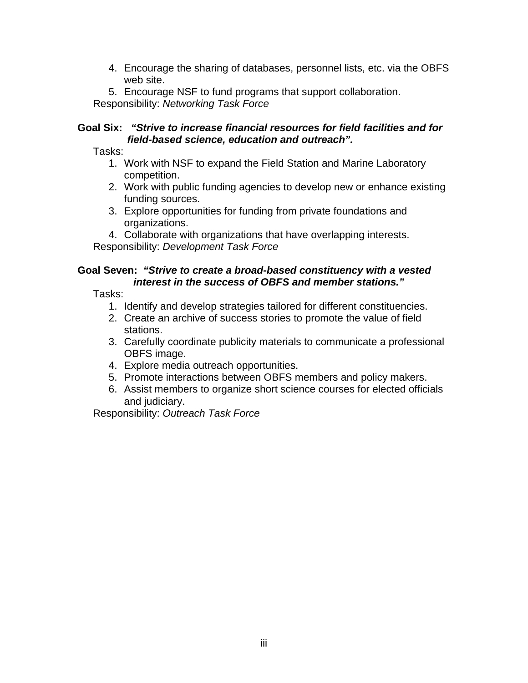4. Encourage the sharing of databases, personnel lists, etc. via the OBFS web site.

5. Encourage NSF to fund programs that support collaboration. Responsibility: *Networking Task Force*

## **Goal Six:** *"Strive to increase financial resources for field facilities and for field-based science, education and outreach".*

Tasks:

- 1. Work with NSF to expand the Field Station and Marine Laboratory competition.
- 2. Work with public funding agencies to develop new or enhance existing funding sources.
- 3. Explore opportunities for funding from private foundations and organizations.
- 4. Collaborate with organizations that have overlapping interests.

Responsibility: *Development Task Force*

#### **Goal Seven:** *"Strive to create a broad-based constituency with a vested interest in the success of OBFS and member stations."*

Tasks:

- 1. Identify and develop strategies tailored for different constituencies.
- 2. Create an archive of success stories to promote the value of field stations.
- 3. Carefully coordinate publicity materials to communicate a professional OBFS image.
- 4. Explore media outreach opportunities.
- 5. Promote interactions between OBFS members and policy makers.
- 6. Assist members to organize short science courses for elected officials and judiciary.

Responsibility: *Outreach Task Force*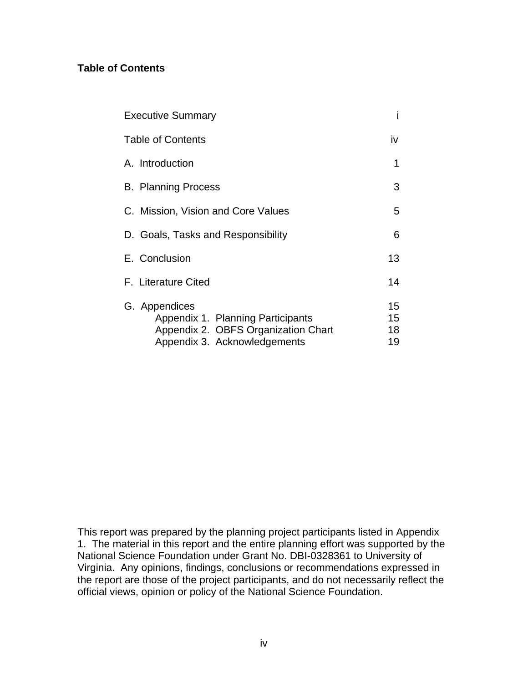## **Table of Contents**

| <b>Executive Summary</b>                                                                                                  |                      |
|---------------------------------------------------------------------------------------------------------------------------|----------------------|
| <b>Table of Contents</b>                                                                                                  | iv                   |
| A. Introduction                                                                                                           | 1                    |
| <b>B. Planning Process</b>                                                                                                | 3                    |
| C. Mission, Vision and Core Values                                                                                        | 5                    |
| D. Goals, Tasks and Responsibility                                                                                        | 6                    |
| E. Conclusion                                                                                                             | 13                   |
| F. Literature Cited                                                                                                       | 14                   |
| G. Appendices<br>Appendix 1. Planning Participants<br>Appendix 2. OBFS Organization Chart<br>Appendix 3. Acknowledgements | 15<br>15<br>18<br>19 |

This report was prepared by the planning project participants listed in Appendix 1. The material in this report and the entire planning effort was supported by the National Science Foundation under Grant No. DBI-0328361 to University of Virginia. Any opinions, findings, conclusions or recommendations expressed in the report are those of the project participants, and do not necessarily reflect the official views, opinion or policy of the National Science Foundation.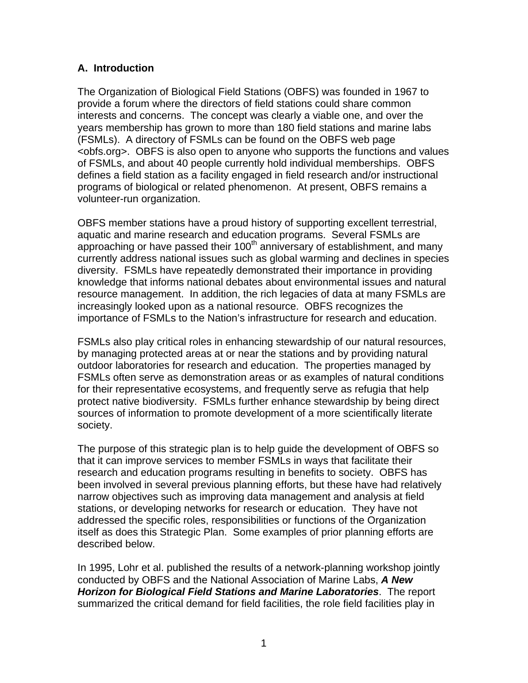## **A. Introduction**

The Organization of Biological Field Stations (OBFS) was founded in 1967 to provide a forum where the directors of field stations could share common interests and concerns. The concept was clearly a viable one, and over the years membership has grown to more than 180 field stations and marine labs (FSMLs). A directory of FSMLs can be found on the OBFS web page <obfs.org>. OBFS is also open to anyone who supports the functions and values of FSMLs, and about 40 people currently hold individual memberships. OBFS defines a field station as a facility engaged in field research and/or instructional programs of biological or related phenomenon. At present, OBFS remains a volunteer-run organization.

OBFS member stations have a proud history of supporting excellent terrestrial, aquatic and marine research and education programs. Several FSMLs are approaching or have passed their  $100<sup>th</sup>$  anniversary of establishment, and many currently address national issues such as global warming and declines in species diversity. FSMLs have repeatedly demonstrated their importance in providing knowledge that informs national debates about environmental issues and natural resource management. In addition, the rich legacies of data at many FSMLs are increasingly looked upon as a national resource. OBFS recognizes the importance of FSMLs to the Nation's infrastructure for research and education.

FSMLs also play critical roles in enhancing stewardship of our natural resources, by managing protected areas at or near the stations and by providing natural outdoor laboratories for research and education. The properties managed by FSMLs often serve as demonstration areas or as examples of natural conditions for their representative ecosystems, and frequently serve as refugia that help protect native biodiversity. FSMLs further enhance stewardship by being direct sources of information to promote development of a more scientifically literate society.

The purpose of this strategic plan is to help guide the development of OBFS so that it can improve services to member FSMLs in ways that facilitate their research and education programs resulting in benefits to society. OBFS has been involved in several previous planning efforts, but these have had relatively narrow objectives such as improving data management and analysis at field stations, or developing networks for research or education. They have not addressed the specific roles, responsibilities or functions of the Organization itself as does this Strategic Plan. Some examples of prior planning efforts are described below.

In 1995, Lohr et al. published the results of a network-planning workshop jointly conducted by OBFS and the National Association of Marine Labs, *A New Horizon for Biological Field Stations and Marine Laboratories*. The report summarized the critical demand for field facilities, the role field facilities play in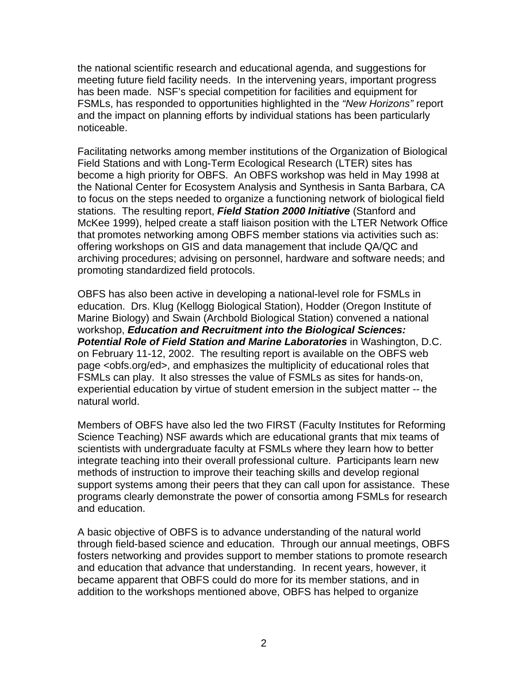the national scientific research and educational agenda, and suggestions for meeting future field facility needs. In the intervening years, important progress has been made. NSF's special competition for facilities and equipment for FSMLs, has responded to opportunities highlighted in the *"New Horizons"* report and the impact on planning efforts by individual stations has been particularly noticeable.

Facilitating networks among member institutions of the Organization of Biological Field Stations and with Long-Term Ecological Research (LTER) sites has become a high priority for OBFS. An OBFS workshop was held in May 1998 at the National Center for Ecosystem Analysis and Synthesis in Santa Barbara, CA to focus on the steps needed to organize a functioning network of biological field stations. The resulting report, *Field Station 2000 Initiative* (Stanford and McKee 1999), helped create a staff liaison position with the LTER Network Office that promotes networking among OBFS member stations via activities such as: offering workshops on GIS and data management that include QA/QC and archiving procedures; advising on personnel, hardware and software needs; and promoting standardized field protocols.

OBFS has also been active in developing a national-level role for FSMLs in education. Drs. Klug (Kellogg Biological Station), Hodder (Oregon Institute of Marine Biology) and Swain (Archbold Biological Station) convened a national workshop, *Education and Recruitment into the Biological Sciences: Potential Role of Field Station and Marine Laboratories* in Washington, D.C. on February 11-12, 2002. The resulting report is available on the OBFS web page <obfs.org/ed>, and emphasizes the multiplicity of educational roles that FSMLs can play. It also stresses the value of FSMLs as sites for hands-on, experiential education by virtue of student emersion in the subject matter -- the natural world.

Members of OBFS have also led the two FIRST (Faculty Institutes for Reforming Science Teaching) NSF awards which are educational grants that mix teams of scientists with undergraduate faculty at FSMLs where they learn how to better integrate teaching into their overall professional culture. Participants learn new methods of instruction to improve their teaching skills and develop regional support systems among their peers that they can call upon for assistance. These programs clearly demonstrate the power of consortia among FSMLs for research and education.

A basic objective of OBFS is to advance understanding of the natural world through field-based science and education. Through our annual meetings, OBFS fosters networking and provides support to member stations to promote research and education that advance that understanding. In recent years, however, it became apparent that OBFS could do more for its member stations, and in addition to the workshops mentioned above, OBFS has helped to organize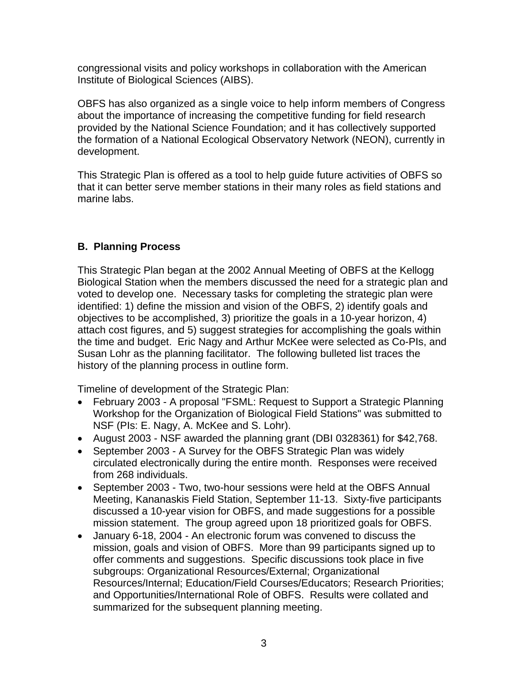congressional visits and policy workshops in collaboration with the American Institute of Biological Sciences (AIBS).

OBFS has also organized as a single voice to help inform members of Congress about the importance of increasing the competitive funding for field research provided by the National Science Foundation; and it has collectively supported the formation of a National Ecological Observatory Network (NEON), currently in development.

This Strategic Plan is offered as a tool to help guide future activities of OBFS so that it can better serve member stations in their many roles as field stations and marine labs.

# **B. Planning Process**

This Strategic Plan began at the 2002 Annual Meeting of OBFS at the Kellogg Biological Station when the members discussed the need for a strategic plan and voted to develop one. Necessary tasks for completing the strategic plan were identified: 1) define the mission and vision of the OBFS, 2) identify goals and objectives to be accomplished, 3) prioritize the goals in a 10-year horizon, 4) attach cost figures, and 5) suggest strategies for accomplishing the goals within the time and budget. Eric Nagy and Arthur McKee were selected as Co-PIs, and Susan Lohr as the planning facilitator. The following bulleted list traces the history of the planning process in outline form.

Timeline of development of the Strategic Plan:

- February 2003 A proposal "FSML: Request to Support a Strategic Planning Workshop for the Organization of Biological Field Stations" was submitted to NSF (PIs: E. Nagy, A. McKee and S. Lohr).
- August 2003 NSF awarded the planning grant (DBI 0328361) for \$42,768.
- September 2003 A Survey for the OBFS Strategic Plan was widely circulated electronically during the entire month. Responses were received from 268 individuals.
- September 2003 Two, two-hour sessions were held at the OBFS Annual Meeting, Kananaskis Field Station, September 11-13. Sixty-five participants discussed a 10-year vision for OBFS, and made suggestions for a possible mission statement. The group agreed upon 18 prioritized goals for OBFS.
- January 6-18, 2004 An electronic forum was convened to discuss the mission, goals and vision of OBFS. More than 99 participants signed up to offer comments and suggestions. Specific discussions took place in five subgroups: Organizational Resources/External; Organizational Resources/Internal; Education/Field Courses/Educators; Research Priorities; and Opportunities/International Role of OBFS. Results were collated and summarized for the subsequent planning meeting.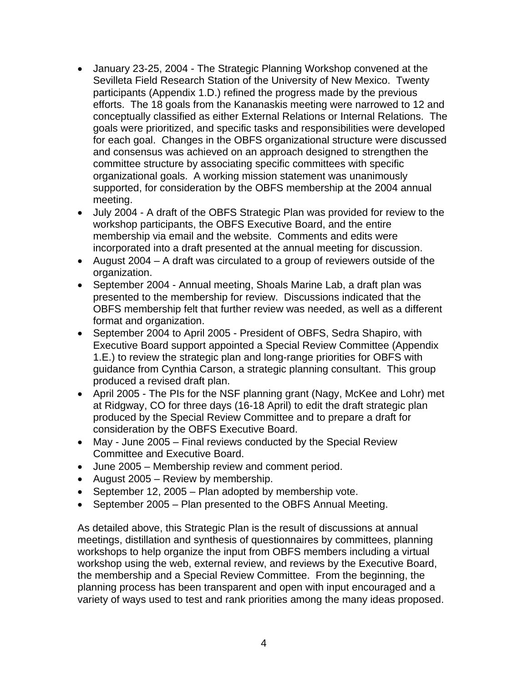- January 23-25, 2004 The Strategic Planning Workshop convened at the Sevilleta Field Research Station of the University of New Mexico. Twenty participants (Appendix 1.D.) refined the progress made by the previous efforts. The 18 goals from the Kananaskis meeting were narrowed to 12 and conceptually classified as either External Relations or Internal Relations. The goals were prioritized, and specific tasks and responsibilities were developed for each goal. Changes in the OBFS organizational structure were discussed and consensus was achieved on an approach designed to strengthen the committee structure by associating specific committees with specific organizational goals. A working mission statement was unanimously supported, for consideration by the OBFS membership at the 2004 annual meeting.
- July 2004 A draft of the OBFS Strategic Plan was provided for review to the workshop participants, the OBFS Executive Board, and the entire membership via email and the website. Comments and edits were incorporated into a draft presented at the annual meeting for discussion.
- August 2004 A draft was circulated to a group of reviewers outside of the organization.
- September 2004 Annual meeting, Shoals Marine Lab, a draft plan was presented to the membership for review. Discussions indicated that the OBFS membership felt that further review was needed, as well as a different format and organization.
- September 2004 to April 2005 President of OBFS, Sedra Shapiro, with Executive Board support appointed a Special Review Committee (Appendix 1.E.) to review the strategic plan and long-range priorities for OBFS with guidance from Cynthia Carson, a strategic planning consultant. This group produced a revised draft plan.
- April 2005 The PIs for the NSF planning grant (Nagy, McKee and Lohr) met at Ridgway, CO for three days (16-18 April) to edit the draft strategic plan produced by the Special Review Committee and to prepare a draft for consideration by the OBFS Executive Board.
- May June 2005 Final reviews conducted by the Special Review Committee and Executive Board.
- June 2005 Membership review and comment period.
- August 2005 Review by membership.
- September 12, 2005 Plan adopted by membership vote.
- September 2005 Plan presented to the OBFS Annual Meeting.

As detailed above, this Strategic Plan is the result of discussions at annual meetings, distillation and synthesis of questionnaires by committees, planning workshops to help organize the input from OBFS members including a virtual workshop using the web, external review, and reviews by the Executive Board, the membership and a Special Review Committee. From the beginning, the planning process has been transparent and open with input encouraged and a variety of ways used to test and rank priorities among the many ideas proposed.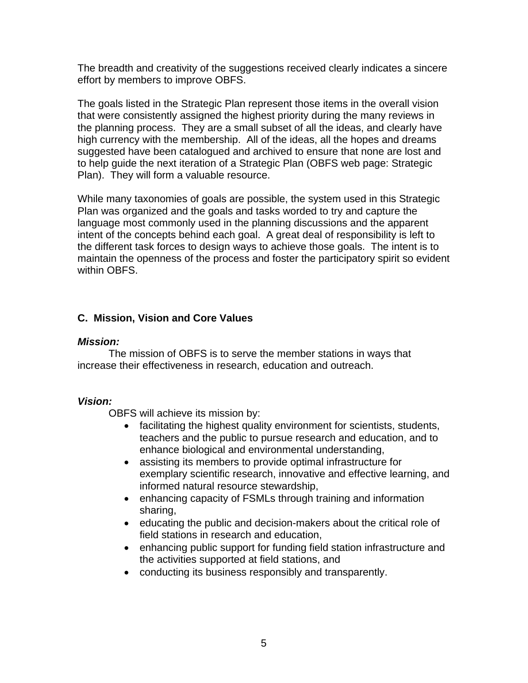The breadth and creativity of the suggestions received clearly indicates a sincere effort by members to improve OBFS.

The goals listed in the Strategic Plan represent those items in the overall vision that were consistently assigned the highest priority during the many reviews in the planning process. They are a small subset of all the ideas, and clearly have high currency with the membership. All of the ideas, all the hopes and dreams suggested have been catalogued and archived to ensure that none are lost and to help guide the next iteration of a Strategic Plan (OBFS web page: Strategic Plan). They will form a valuable resource.

While many taxonomies of goals are possible, the system used in this Strategic Plan was organized and the goals and tasks worded to try and capture the language most commonly used in the planning discussions and the apparent intent of the concepts behind each goal. A great deal of responsibility is left to the different task forces to design ways to achieve those goals. The intent is to maintain the openness of the process and foster the participatory spirit so evident within OBFS.

# **C. Mission, Vision and Core Values**

#### *Mission:*

The mission of OBFS is to serve the member stations in ways that increase their effectiveness in research, education and outreach.

## *Vision:*

OBFS will achieve its mission by:

- facilitating the highest quality environment for scientists, students, teachers and the public to pursue research and education, and to enhance biological and environmental understanding,
- assisting its members to provide optimal infrastructure for exemplary scientific research, innovative and effective learning, and informed natural resource stewardship,
- enhancing capacity of FSMLs through training and information sharing,
- educating the public and decision-makers about the critical role of field stations in research and education,
- enhancing public support for funding field station infrastructure and the activities supported at field stations, and
- conducting its business responsibly and transparently.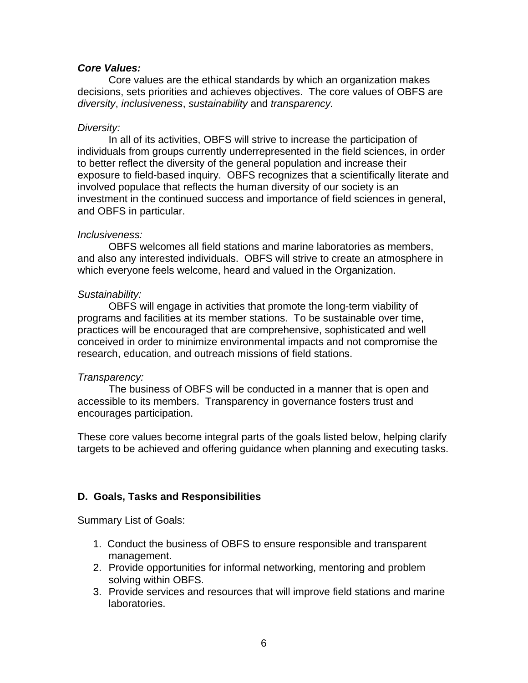#### *Core Values:*

Core values are the ethical standards by which an organization makes decisions, sets priorities and achieves objectives. The core values of OBFS are *diversity*, *inclusiveness*, *sustainability* and *transparency.*

#### *Diversity:*

In all of its activities, OBFS will strive to increase the participation of individuals from groups currently underrepresented in the field sciences, in order to better reflect the diversity of the general population and increase their exposure to field-based inquiry. OBFS recognizes that a scientifically literate and involved populace that reflects the human diversity of our society is an investment in the continued success and importance of field sciences in general, and OBFS in particular.

#### *Inclusiveness:*

OBFS welcomes all field stations and marine laboratories as members, and also any interested individuals. OBFS will strive to create an atmosphere in which everyone feels welcome, heard and valued in the Organization.

#### *Sustainability:*

OBFS will engage in activities that promote the long-term viability of programs and facilities at its member stations. To be sustainable over time, practices will be encouraged that are comprehensive, sophisticated and well conceived in order to minimize environmental impacts and not compromise the research, education, and outreach missions of field stations.

#### *Transparency:*

The business of OBFS will be conducted in a manner that is open and accessible to its members. Transparency in governance fosters trust and encourages participation.

These core values become integral parts of the goals listed below, helping clarify targets to be achieved and offering guidance when planning and executing tasks.

## **D. Goals, Tasks and Responsibilities**

Summary List of Goals:

- 1. Conduct the business of OBFS to ensure responsible and transparent management.
- 2. Provide opportunities for informal networking, mentoring and problem solving within OBFS.
- 3. Provide services and resources that will improve field stations and marine laboratories.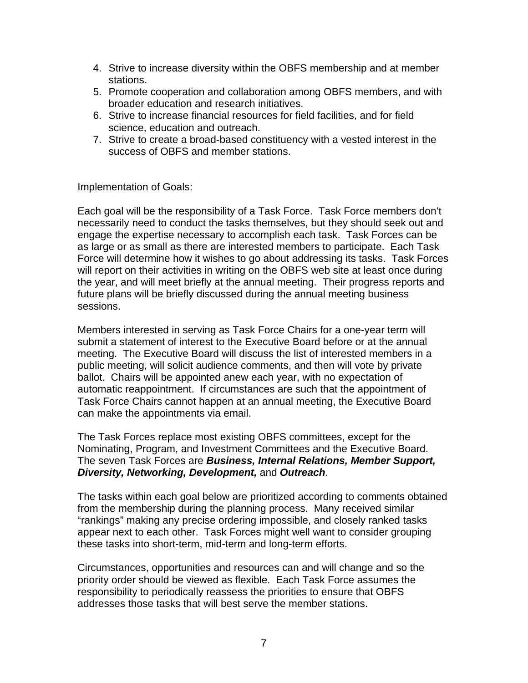- 4. Strive to increase diversity within the OBFS membership and at member stations.
- 5. Promote cooperation and collaboration among OBFS members, and with broader education and research initiatives.
- 6. Strive to increase financial resources for field facilities, and for field science, education and outreach.
- 7. Strive to create a broad-based constituency with a vested interest in the success of OBFS and member stations.

Implementation of Goals:

Each goal will be the responsibility of a Task Force. Task Force members don't necessarily need to conduct the tasks themselves, but they should seek out and engage the expertise necessary to accomplish each task. Task Forces can be as large or as small as there are interested members to participate. Each Task Force will determine how it wishes to go about addressing its tasks. Task Forces will report on their activities in writing on the OBFS web site at least once during the year, and will meet briefly at the annual meeting. Their progress reports and future plans will be briefly discussed during the annual meeting business sessions.

Members interested in serving as Task Force Chairs for a one-year term will submit a statement of interest to the Executive Board before or at the annual meeting. The Executive Board will discuss the list of interested members in a public meeting, will solicit audience comments, and then will vote by private ballot. Chairs will be appointed anew each year, with no expectation of automatic reappointment. If circumstances are such that the appointment of Task Force Chairs cannot happen at an annual meeting, the Executive Board can make the appointments via email.

The Task Forces replace most existing OBFS committees, except for the Nominating, Program, and Investment Committees and the Executive Board. The seven Task Forces are *Business, Internal Relations, Member Support, Diversity, Networking, Development,* and *Outreach*.

The tasks within each goal below are prioritized according to comments obtained from the membership during the planning process. Many received similar "rankings" making any precise ordering impossible, and closely ranked tasks appear next to each other. Task Forces might well want to consider grouping these tasks into short-term, mid-term and long-term efforts.

Circumstances, opportunities and resources can and will change and so the priority order should be viewed as flexible. Each Task Force assumes the responsibility to periodically reassess the priorities to ensure that OBFS addresses those tasks that will best serve the member stations.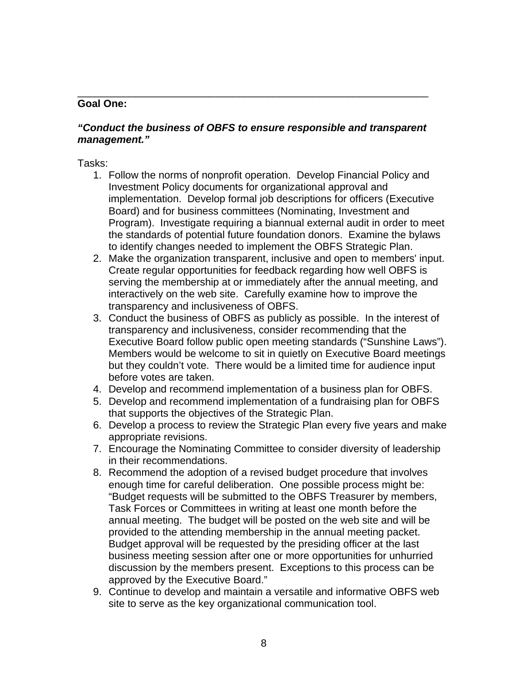#### **Goal One:**

#### *"Conduct the business of OBFS to ensure responsible and transparent management."*

\_\_\_\_\_\_\_\_\_\_\_\_\_\_\_\_\_\_\_\_\_\_\_\_\_\_\_\_\_\_\_\_\_\_\_\_\_\_\_\_\_\_\_\_\_\_\_\_\_\_\_\_\_\_\_\_\_\_\_\_\_

Tasks:

- 1. Follow the norms of nonprofit operation. Develop Financial Policy and Investment Policy documents for organizational approval and implementation. Develop formal job descriptions for officers (Executive Board) and for business committees (Nominating, Investment and Program). Investigate requiring a biannual external audit in order to meet the standards of potential future foundation donors. Examine the bylaws to identify changes needed to implement the OBFS Strategic Plan.
- 2. Make the organization transparent, inclusive and open to members' input. Create regular opportunities for feedback regarding how well OBFS is serving the membership at or immediately after the annual meeting, and interactively on the web site. Carefully examine how to improve the transparency and inclusiveness of OBFS.
- 3. Conduct the business of OBFS as publicly as possible. In the interest of transparency and inclusiveness, consider recommending that the Executive Board follow public open meeting standards ("Sunshine Laws"). Members would be welcome to sit in quietly on Executive Board meetings but they couldn't vote. There would be a limited time for audience input before votes are taken.
- 4. Develop and recommend implementation of a business plan for OBFS.
- 5. Develop and recommend implementation of a fundraising plan for OBFS that supports the objectives of the Strategic Plan.
- 6. Develop a process to review the Strategic Plan every five years and make appropriate revisions.
- 7. Encourage the Nominating Committee to consider diversity of leadership in their recommendations.
- 8. Recommend the adoption of a revised budget procedure that involves enough time for careful deliberation. One possible process might be: "Budget requests will be submitted to the OBFS Treasurer by members, Task Forces or Committees in writing at least one month before the annual meeting. The budget will be posted on the web site and will be provided to the attending membership in the annual meeting packet. Budget approval will be requested by the presiding officer at the last business meeting session after one or more opportunities for unhurried discussion by the members present. Exceptions to this process can be approved by the Executive Board."
- 9. Continue to develop and maintain a versatile and informative OBFS web site to serve as the key organizational communication tool.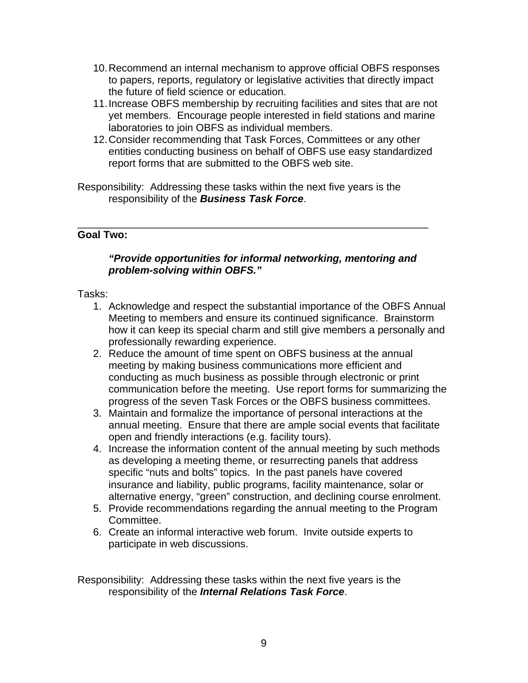- 10. Recommend an internal mechanism to approve official OBFS responses to papers, reports, regulatory or legislative activities that directly impact the future of field science or education.
- 11. Increase OBFS membership by recruiting facilities and sites that are not yet members. Encourage people interested in field stations and marine laboratories to join OBFS as individual members.
- 12. Consider recommending that Task Forces, Committees or any other entities conducting business on behalf of OBFS use easy standardized report forms that are submitted to the OBFS web site.
- Responsibility: Addressing these tasks within the next five years is the responsibility of the *Business Task Force*.

#### \_\_\_\_\_\_\_\_\_\_\_\_\_\_\_\_\_\_\_\_\_\_\_\_\_\_\_\_\_\_\_\_\_\_\_\_\_\_\_\_\_\_\_\_\_\_\_\_\_\_\_\_\_\_\_\_\_\_\_\_\_ **Goal Two:**

## *"Provide opportunities for informal networking, mentoring and problem-solving within OBFS."*

#### Tasks:

- 1. Acknowledge and respect the substantial importance of the OBFS Annual Meeting to members and ensure its continued significance. Brainstorm how it can keep its special charm and still give members a personally and professionally rewarding experience.
- 2. Reduce the amount of time spent on OBFS business at the annual meeting by making business communications more efficient and conducting as much business as possible through electronic or print communication before the meeting. Use report forms for summarizing the progress of the seven Task Forces or the OBFS business committees.
- 3. Maintain and formalize the importance of personal interactions at the annual meeting. Ensure that there are ample social events that facilitate open and friendly interactions (e.g. facility tours).
- 4. Increase the information content of the annual meeting by such methods as developing a meeting theme, or resurrecting panels that address specific "nuts and bolts" topics. In the past panels have covered insurance and liability, public programs, facility maintenance, solar or alternative energy, "green" construction, and declining course enrolment.
- 5. Provide recommendations regarding the annual meeting to the Program Committee.
- 6. Create an informal interactive web forum. Invite outside experts to participate in web discussions.

Responsibility: Addressing these tasks within the next five years is the responsibility of the *Internal Relations Task Force*.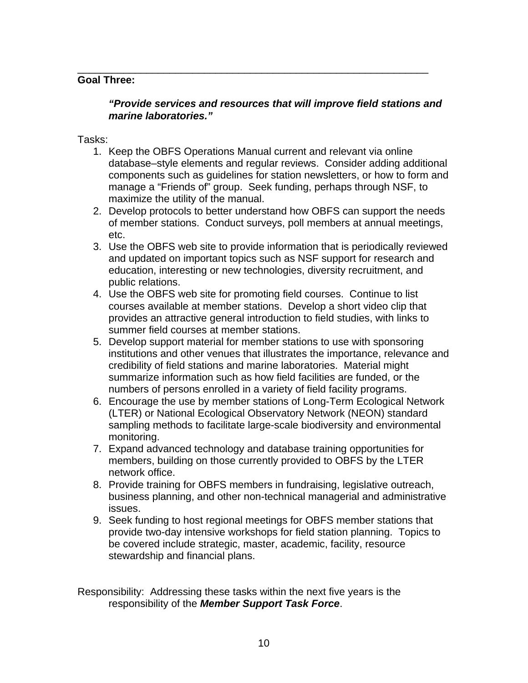## **Goal Three:**

## *"Provide services and resources that will improve field stations and marine laboratories."*

\_\_\_\_\_\_\_\_\_\_\_\_\_\_\_\_\_\_\_\_\_\_\_\_\_\_\_\_\_\_\_\_\_\_\_\_\_\_\_\_\_\_\_\_\_\_\_\_\_\_\_\_\_\_\_\_\_\_\_\_\_

Tasks:

- 1. Keep the OBFS Operations Manual current and relevant via online database–style elements and regular reviews. Consider adding additional components such as guidelines for station newsletters, or how to form and manage a "Friends of" group. Seek funding, perhaps through NSF, to maximize the utility of the manual.
- 2. Develop protocols to better understand how OBFS can support the needs of member stations. Conduct surveys, poll members at annual meetings, etc.
- 3. Use the OBFS web site to provide information that is periodically reviewed and updated on important topics such as NSF support for research and education, interesting or new technologies, diversity recruitment, and public relations.
- 4. Use the OBFS web site for promoting field courses. Continue to list courses available at member stations. Develop a short video clip that provides an attractive general introduction to field studies, with links to summer field courses at member stations.
- 5. Develop support material for member stations to use with sponsoring institutions and other venues that illustrates the importance, relevance and credibility of field stations and marine laboratories. Material might summarize information such as how field facilities are funded, or the numbers of persons enrolled in a variety of field facility programs.
- 6. Encourage the use by member stations of Long-Term Ecological Network (LTER) or National Ecological Observatory Network (NEON) standard sampling methods to facilitate large-scale biodiversity and environmental monitoring.
- 7. Expand advanced technology and database training opportunities for members, building on those currently provided to OBFS by the LTER network office.
- 8. Provide training for OBFS members in fundraising, legislative outreach, business planning, and other non-technical managerial and administrative issues.
- 9. Seek funding to host regional meetings for OBFS member stations that provide two-day intensive workshops for field station planning. Topics to be covered include strategic, master, academic, facility, resource stewardship and financial plans.

Responsibility: Addressing these tasks within the next five years is the responsibility of the *Member Support Task Force*.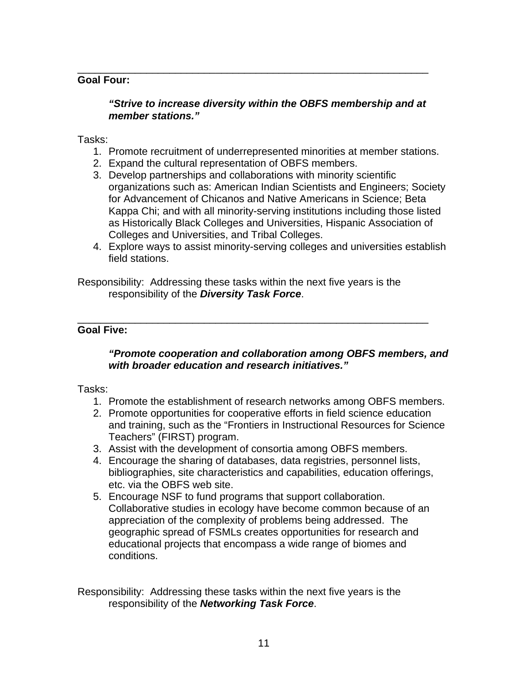#### **Goal Four:**

## *"Strive to increase diversity within the OBFS membership and at member stations."*

\_\_\_\_\_\_\_\_\_\_\_\_\_\_\_\_\_\_\_\_\_\_\_\_\_\_\_\_\_\_\_\_\_\_\_\_\_\_\_\_\_\_\_\_\_\_\_\_\_\_\_\_\_\_\_\_\_\_\_\_\_

#### Tasks:

- 1. Promote recruitment of underrepresented minorities at member stations.
- 2. Expand the cultural representation of OBFS members.
- 3. Develop partnerships and collaborations with minority scientific organizations such as: American Indian Scientists and Engineers; Society for Advancement of Chicanos and Native Americans in Science; Beta Kappa Chi; and with all minority-serving institutions including those listed as Historically Black Colleges and Universities, Hispanic Association of Colleges and Universities, and Tribal Colleges.
- 4. Explore ways to assist minority-serving colleges and universities establish field stations.

Responsibility: Addressing these tasks within the next five years is the responsibility of the *Diversity Task Force*.

\_\_\_\_\_\_\_\_\_\_\_\_\_\_\_\_\_\_\_\_\_\_\_\_\_\_\_\_\_\_\_\_\_\_\_\_\_\_\_\_\_\_\_\_\_\_\_\_\_\_\_\_\_\_\_\_\_\_\_\_\_

#### **Goal Five:**

## *"Promote cooperation and collaboration among OBFS members, and with broader education and research initiatives."*

#### Tasks:

- 1. Promote the establishment of research networks among OBFS members.
- 2. Promote opportunities for cooperative efforts in field science education and training, such as the "Frontiers in Instructional Resources for Science Teachers" (FIRST) program.
- 3. Assist with the development of consortia among OBFS members.
- 4. Encourage the sharing of databases, data registries, personnel lists, bibliographies, site characteristics and capabilities, education offerings, etc. via the OBFS web site.
- 5. Encourage NSF to fund programs that support collaboration. Collaborative studies in ecology have become common because of an appreciation of the complexity of problems being addressed. The geographic spread of FSMLs creates opportunities for research and educational projects that encompass a wide range of biomes and conditions.

Responsibility: Addressing these tasks within the next five years is the responsibility of the *Networking Task Force*.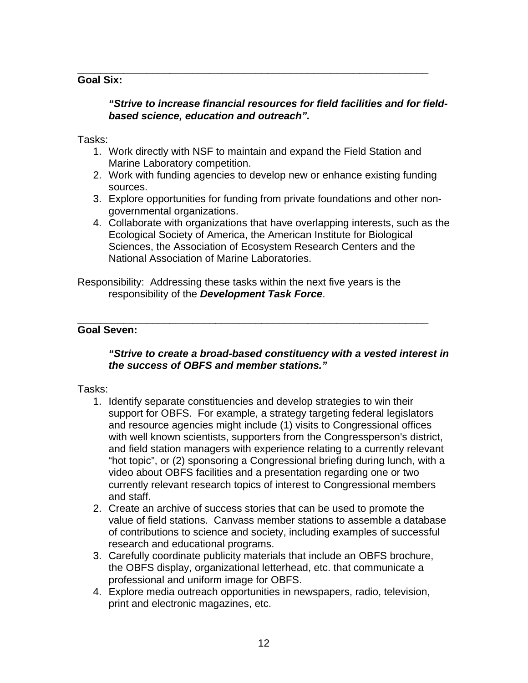## **Goal Six:**

## *"Strive to increase financial resources for field facilities and for fieldbased science, education and outreach".*

Tasks:

1. Work directly with NSF to maintain and expand the Field Station and Marine Laboratory competition.

\_\_\_\_\_\_\_\_\_\_\_\_\_\_\_\_\_\_\_\_\_\_\_\_\_\_\_\_\_\_\_\_\_\_\_\_\_\_\_\_\_\_\_\_\_\_\_\_\_\_\_\_\_\_\_\_\_\_\_\_\_

- 2. Work with funding agencies to develop new or enhance existing funding sources.
- 3. Explore opportunities for funding from private foundations and other nongovernmental organizations.
- 4. Collaborate with organizations that have overlapping interests, such as the Ecological Society of America, the American Institute for Biological Sciences, the Association of Ecosystem Research Centers and the National Association of Marine Laboratories.

Responsibility: Addressing these tasks within the next five years is the responsibility of the *Development Task Force*.

\_\_\_\_\_\_\_\_\_\_\_\_\_\_\_\_\_\_\_\_\_\_\_\_\_\_\_\_\_\_\_\_\_\_\_\_\_\_\_\_\_\_\_\_\_\_\_\_\_\_\_\_\_\_\_\_\_\_\_\_\_

## **Goal Seven:**

## *"Strive to create a broad-based constituency with a vested interest in the success of OBFS and member stations."*

## Tasks:

- 1. Identify separate constituencies and develop strategies to win their support for OBFS. For example, a strategy targeting federal legislators and resource agencies might include (1) visits to Congressional offices with well known scientists, supporters from the Congressperson's district, and field station managers with experience relating to a currently relevant "hot topic", or (2) sponsoring a Congressional briefing during lunch, with a video about OBFS facilities and a presentation regarding one or two currently relevant research topics of interest to Congressional members and staff.
- 2. Create an archive of success stories that can be used to promote the value of field stations. Canvass member stations to assemble a database of contributions to science and society, including examples of successful research and educational programs.
- 3. Carefully coordinate publicity materials that include an OBFS brochure, the OBFS display, organizational letterhead, etc. that communicate a professional and uniform image for OBFS.
- 4. Explore media outreach opportunities in newspapers, radio, television, print and electronic magazines, etc.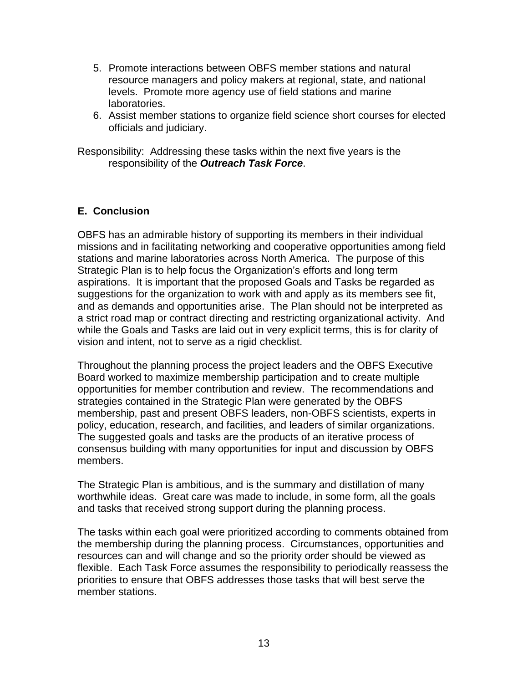- 5. Promote interactions between OBFS member stations and natural resource managers and policy makers at regional, state, and national levels. Promote more agency use of field stations and marine laboratories.
- 6. Assist member stations to organize field science short courses for elected officials and judiciary.

Responsibility: Addressing these tasks within the next five years is the responsibility of the *Outreach Task Force*.

# **E. Conclusion**

OBFS has an admirable history of supporting its members in their individual missions and in facilitating networking and cooperative opportunities among field stations and marine laboratories across North America. The purpose of this Strategic Plan is to help focus the Organization's efforts and long term aspirations. It is important that the proposed Goals and Tasks be regarded as suggestions for the organization to work with and apply as its members see fit, and as demands and opportunities arise. The Plan should not be interpreted as a strict road map or contract directing and restricting organizational activity. And while the Goals and Tasks are laid out in very explicit terms, this is for clarity of vision and intent, not to serve as a rigid checklist.

Throughout the planning process the project leaders and the OBFS Executive Board worked to maximize membership participation and to create multiple opportunities for member contribution and review. The recommendations and strategies contained in the Strategic Plan were generated by the OBFS membership, past and present OBFS leaders, non-OBFS scientists, experts in policy, education, research, and facilities, and leaders of similar organizations. The suggested goals and tasks are the products of an iterative process of consensus building with many opportunities for input and discussion by OBFS members.

The Strategic Plan is ambitious, and is the summary and distillation of many worthwhile ideas. Great care was made to include, in some form, all the goals and tasks that received strong support during the planning process.

The tasks within each goal were prioritized according to comments obtained from the membership during the planning process. Circumstances, opportunities and resources can and will change and so the priority order should be viewed as flexible. Each Task Force assumes the responsibility to periodically reassess the priorities to ensure that OBFS addresses those tasks that will best serve the member stations.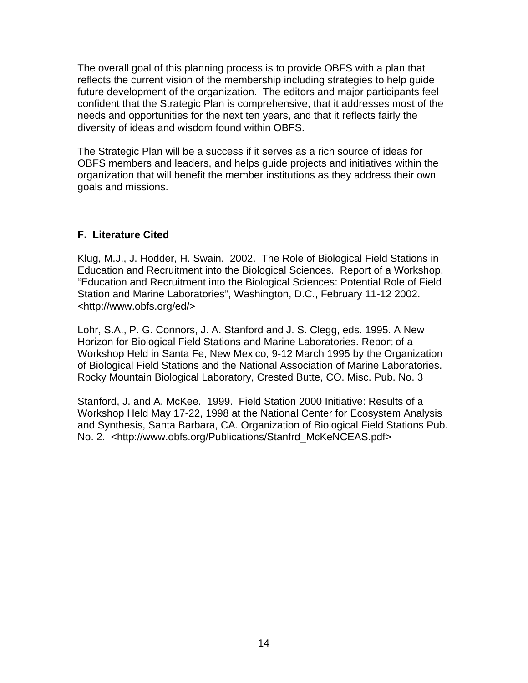The overall goal of this planning process is to provide OBFS with a plan that reflects the current vision of the membership including strategies to help guide future development of the organization. The editors and major participants feel confident that the Strategic Plan is comprehensive, that it addresses most of the needs and opportunities for the next ten years, and that it reflects fairly the diversity of ideas and wisdom found within OBFS.

The Strategic Plan will be a success if it serves as a rich source of ideas for OBFS members and leaders, and helps guide projects and initiatives within the organization that will benefit the member institutions as they address their own goals and missions.

# **F. Literature Cited**

Klug, M.J., J. Hodder, H. Swain. 2002. The Role of Biological Field Stations in Education and Recruitment into the Biological Sciences. Report of a Workshop, "Education and Recruitment into the Biological Sciences: Potential Role of Field Station and Marine Laboratories", Washington, D.C., February 11-12 2002. <http://www.obfs.org/ed/>

Lohr, S.A., P. G. Connors, J. A. Stanford and J. S. Clegg, eds. 1995. A New Horizon for Biological Field Stations and Marine Laboratories. Report of a Workshop Held in Santa Fe, New Mexico, 9-12 March 1995 by the Organization of Biological Field Stations and the National Association of Marine Laboratories. Rocky Mountain Biological Laboratory, Crested Butte, CO. Misc. Pub. No. 3

Stanford, J. and A. McKee. 1999. Field Station 2000 Initiative: Results of a Workshop Held May 17-22, 1998 at the National Center for Ecosystem Analysis and Synthesis, Santa Barbara, CA. Organization of Biological Field Stations Pub. No. 2. <http://www.obfs.org/Publications/Stanfrd\_McKeNCEAS.pdf>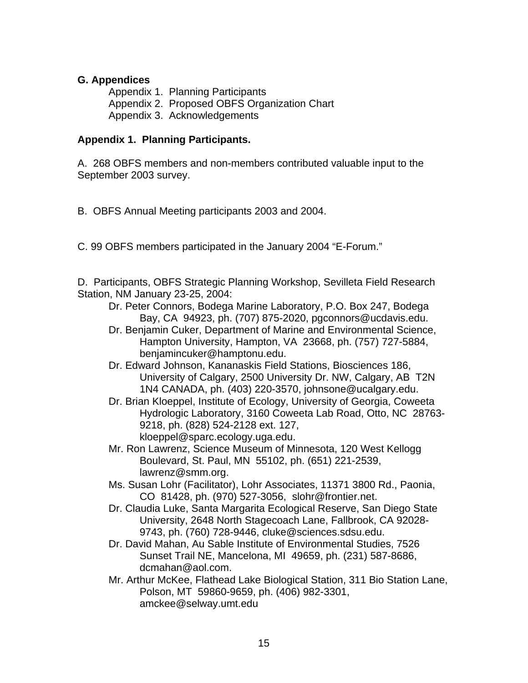## **G. Appendices**

Appendix 1. Planning Participants Appendix 2. Proposed OBFS Organization Chart Appendix 3. Acknowledgements

## **Appendix 1. Planning Participants.**

A. 268 OBFS members and non-members contributed valuable input to the September 2003 survey.

B. OBFS Annual Meeting participants 2003 and 2004.

C. 99 OBFS members participated in the January 2004 "E-Forum."

D. Participants, OBFS Strategic Planning Workshop, Sevilleta Field Research Station, NM January 23-25, 2004:

- Dr. Peter Connors, Bodega Marine Laboratory, P.O. Box 247, Bodega Bay, CA 94923, ph. (707) 875-2020, pgconnors@ucdavis.edu.
- Dr. Benjamin Cuker, Department of Marine and Environmental Science, Hampton University, Hampton, VA 23668, ph. (757) 727-5884, benjamincuker@hamptonu.edu.
- Dr. Edward Johnson, Kananaskis Field Stations, Biosciences 186, University of Calgary, 2500 University Dr. NW, Calgary, AB T2N 1N4 CANADA, ph. (403) 220-3570, johnsone@ucalgary.edu.
- Dr. Brian Kloeppel, Institute of Ecology, University of Georgia, Coweeta Hydrologic Laboratory, 3160 Coweeta Lab Road, Otto, NC 28763- 9218, ph. (828) 524-2128 ext. 127, kloeppel@sparc.ecology.uga.edu.
- Mr. Ron Lawrenz, Science Museum of Minnesota, 120 West Kellogg Boulevard, St. Paul, MN 55102, ph. (651) 221-2539, lawrenz@smm.org.
- Ms. Susan Lohr (Facilitator), Lohr Associates, 11371 3800 Rd., Paonia, CO 81428, ph. (970) 527-3056, slohr@frontier.net.
- Dr. Claudia Luke, Santa Margarita Ecological Reserve, San Diego State University, 2648 North Stagecoach Lane, Fallbrook, CA 92028- 9743, ph. (760) 728-9446, cluke@sciences.sdsu.edu.
- Dr. David Mahan, Au Sable Institute of Environmental Studies, 7526 Sunset Trail NE, Mancelona, MI 49659, ph. (231) 587-8686, dcmahan@aol.com.
- Mr. Arthur McKee, Flathead Lake Biological Station, 311 Bio Station Lane, Polson, MT 59860-9659, ph. (406) 982-3301, amckee@selway.umt.edu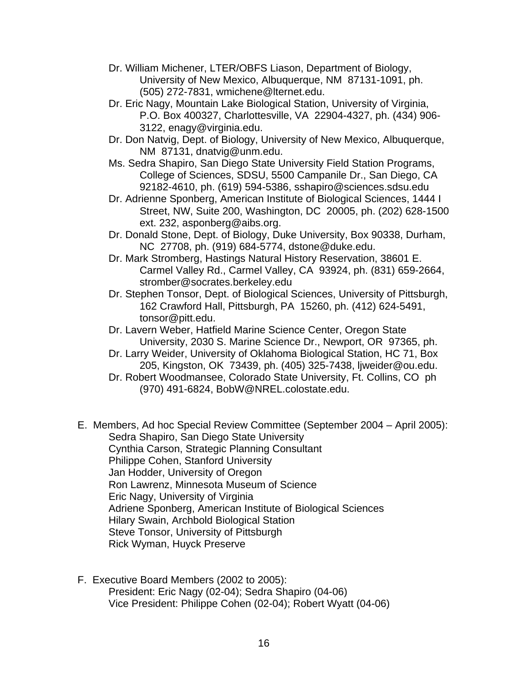- Dr. William Michener, LTER/OBFS Liason, Department of Biology, University of New Mexico, Albuquerque, NM 87131-1091, ph. (505) 272-7831, wmichene@lternet.edu.
- Dr. Eric Nagy, Mountain Lake Biological Station, University of Virginia, P.O. Box 400327, Charlottesville, VA 22904-4327, ph. (434) 906- 3122, enagy@virginia.edu.
- Dr. Don Natvig, Dept. of Biology, University of New Mexico, Albuquerque, NM 87131, dnatvig@unm.edu.
- Ms. Sedra Shapiro, San Diego State University Field Station Programs, College of Sciences, SDSU, 5500 Campanile Dr., San Diego, CA 92182-4610, ph. (619) 594-5386, sshapiro@sciences.sdsu.edu
- Dr. Adrienne Sponberg, American Institute of Biological Sciences, 1444 I Street, NW, Suite 200, Washington, DC 20005, ph. (202) 628-1500 ext. 232, asponberg@aibs.org.
- Dr. Donald Stone, Dept. of Biology, Duke University, Box 90338, Durham, NC 27708, ph. (919) 684-5774, dstone@duke.edu.
- Dr. Mark Stromberg, Hastings Natural History Reservation, 38601 E. Carmel Valley Rd., Carmel Valley, CA 93924, ph. (831) 659-2664, stromber@socrates.berkeley.edu
- Dr. Stephen Tonsor, Dept. of Biological Sciences, University of Pittsburgh, 162 Crawford Hall, Pittsburgh, PA 15260, ph. (412) 624-5491, tonsor@pitt.edu.
- Dr. Lavern Weber, Hatfield Marine Science Center, Oregon State University, 2030 S. Marine Science Dr., Newport, OR 97365, ph.
- Dr. Larry Weider, University of Oklahoma Biological Station, HC 71, Box 205, Kingston, OK 73439, ph. (405) 325-7438, ljweider@ou.edu.
- Dr. Robert Woodmansee, Colorado State University, Ft. Collins, CO ph (970) 491-6824, BobW@NREL.colostate.edu.
- E. Members, Ad hoc Special Review Committee (September 2004 April 2005): Sedra Shapiro, San Diego State University Cynthia Carson, Strategic Planning Consultant Philippe Cohen, Stanford University Jan Hodder, University of Oregon Ron Lawrenz, Minnesota Museum of Science Eric Nagy, University of Virginia Adriene Sponberg, American Institute of Biological Sciences Hilary Swain, Archbold Biological Station Steve Tonsor, University of Pittsburgh Rick Wyman, Huyck Preserve
- F. Executive Board Members (2002 to 2005): President: Eric Nagy (02-04); Sedra Shapiro (04-06) Vice President: Philippe Cohen (02-04); Robert Wyatt (04-06)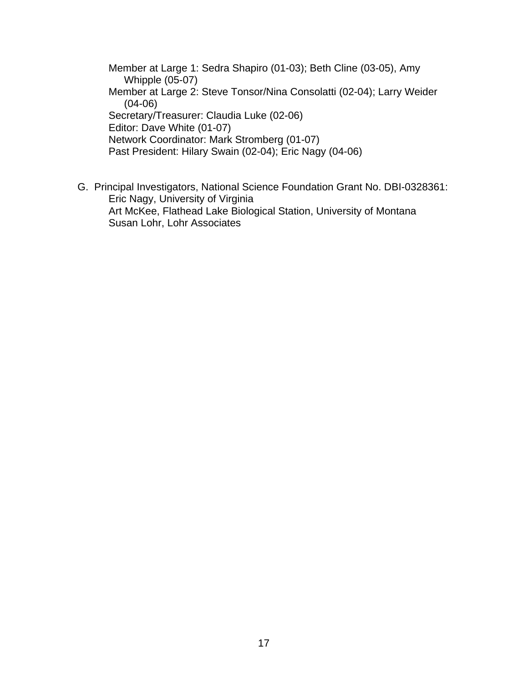Member at Large 1: Sedra Shapiro (01-03); Beth Cline (03-05), Amy Whipple (05-07) Member at Large 2: Steve Tonsor/Nina Consolatti (02-04); Larry Weider (04-06) Secretary/Treasurer: Claudia Luke (02-06) Editor: Dave White (01-07) Network Coordinator: Mark Stromberg (01-07) Past President: Hilary Swain (02-04); Eric Nagy (04-06)

G. Principal Investigators, National Science Foundation Grant No. DBI-0328361: Eric Nagy, University of Virginia Art McKee, Flathead Lake Biological Station, University of Montana Susan Lohr, Lohr Associates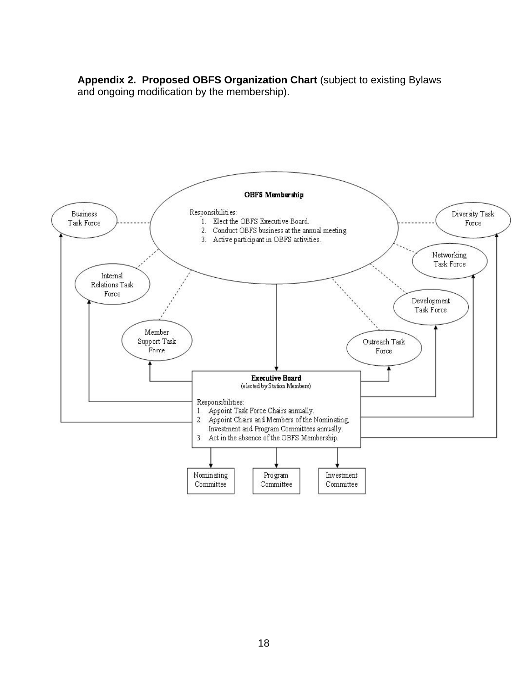**Appendix 2. Proposed OBFS Organization Chart** (subject to existing Bylaws and ongoing modification by the membership).